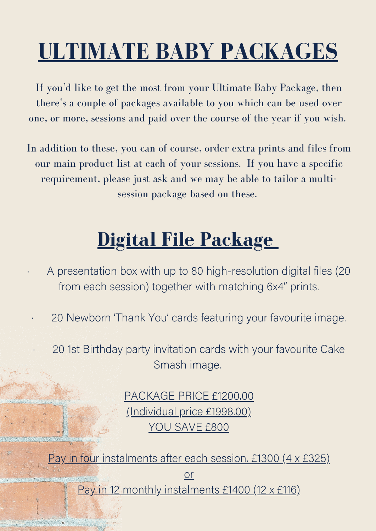## **ULTIMATE BABY PACKAGES**

If you'd like to get the most from your Ultimate Baby Package, then there's a couple of packages available to you which can be used over one, or more, sessions and paid over the course of the year if you wish.

In addition to these, you can of course, order extra prints and files from our main product list at each of your sessions. If you have a specific requirement, please just ask and we may be able to tailor a multisession package based on these.

## **Digital File Package**

- · A presentation box with up to 80 high-resolution digital files (20 from each session) together with matching 6x4" prints.
- 20 Newborn 'Thank You' cards featuring your favourite image.
	- 20 1st Birthday party invitation cards with your favourite Cake Smash image.

PACKAGE PRICE £1200.00 (Individual price £1998.00) YOU SAVE £800

Pay in four instalments after each session. £1300 (4 x £325) or Pay in 12 monthly instalments £1400 (12 x £116)

BRASHA ALAMA